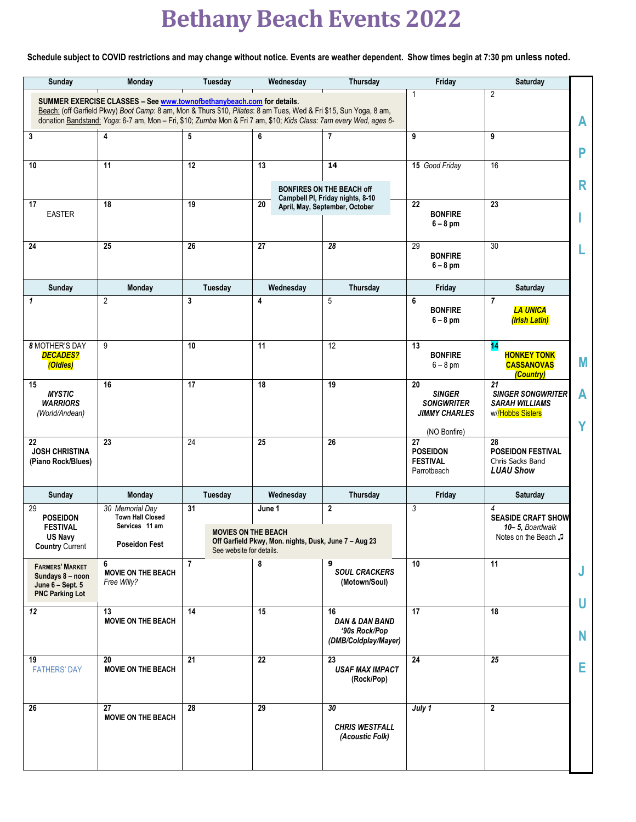## **Bethany Beach Events 2022**

**Schedule subject to COVID restrictions and may change without notice. Events are weather dependent. Show times begin at 7:30 pm unless noted.**

| Sunday                                                                                                                                                                                                                                                                                                                                            | <b>Monday</b>                                                | Tuesday                  | Wednesday                                             | Thursday                                                                 | Friday                                                                  | Saturday                                                                    |        |  |  |
|---------------------------------------------------------------------------------------------------------------------------------------------------------------------------------------------------------------------------------------------------------------------------------------------------------------------------------------------------|--------------------------------------------------------------|--------------------------|-------------------------------------------------------|--------------------------------------------------------------------------|-------------------------------------------------------------------------|-----------------------------------------------------------------------------|--------|--|--|
| $\overline{2}$<br>$\mathbf{1}$<br>SUMMER EXERCISE CLASSES - See www.townofbethanybeach.com for details.<br>Beach: (off Garfield Pkwy) Boot Camp: 8 am, Mon & Thurs \$10, Pilates: 8 am Tues, Wed & Fri \$15, Sun Yoga, 8 am,<br>donation Bandstand: Yoga: 6-7 am, Mon - Fri, \$10; Zumba Mon & Fri 7 am, \$10; Kids Class: 7am every Wed, ages 6- |                                                              |                          |                                                       |                                                                          |                                                                         |                                                                             |        |  |  |
|                                                                                                                                                                                                                                                                                                                                                   |                                                              |                          |                                                       |                                                                          |                                                                         |                                                                             | A      |  |  |
| 3                                                                                                                                                                                                                                                                                                                                                 | $\overline{\mathbf{4}}$                                      | 5                        | 6                                                     | $\overline{7}$                                                           | 9                                                                       | 9                                                                           | P      |  |  |
| 10                                                                                                                                                                                                                                                                                                                                                | 11                                                           | 12                       | $\overline{13}$                                       | 14                                                                       | 15 Good Friday                                                          | 16                                                                          |        |  |  |
|                                                                                                                                                                                                                                                                                                                                                   |                                                              |                          |                                                       | <b>BONFIRES ON THE BEACH off</b><br>Campbell PI, Friday nights, 8-10     |                                                                         |                                                                             | R      |  |  |
| 17<br><b>EASTER</b>                                                                                                                                                                                                                                                                                                                               | $\overline{18}$                                              | 19                       | 20                                                    | April, May, September, October                                           | $\overline{22}$<br><b>BONFIRE</b><br>$6 - 8$ pm                         | $\overline{23}$                                                             |        |  |  |
| 24                                                                                                                                                                                                                                                                                                                                                | 25                                                           | 26                       | $\overline{27}$                                       | 28                                                                       | 29<br><b>BONFIRE</b><br>$6 - 8$ pm                                      | 30                                                                          |        |  |  |
| Sunday                                                                                                                                                                                                                                                                                                                                            | Monday                                                       | <b>Tuesday</b>           | Wednesday                                             | Thursday                                                                 | Friday                                                                  | Saturday                                                                    |        |  |  |
| $\mathbf{1}$                                                                                                                                                                                                                                                                                                                                      | $\overline{2}$                                               | 3                        | 4                                                     | 5                                                                        | 6<br><b>BONFIRE</b><br>$6 - 8$ pm                                       | 7<br><b>LA UNICA</b><br>(Irish Latin)                                       |        |  |  |
| <b>8 MOTHER'S DAY</b><br><b>DECADES?</b><br>(Oldies)                                                                                                                                                                                                                                                                                              | 9                                                            | 10                       | 11                                                    | $\overline{12}$                                                          | 13<br><b>BONFIRE</b><br>$6 - 8$ pm                                      | 14<br><b>HONKEY TONK</b><br><b>CASSANOVAS</b><br>(Country)                  | M      |  |  |
| 15<br><b>MYSTIC</b><br><b>WARRIORS</b><br>(World/Andean)                                                                                                                                                                                                                                                                                          | 16                                                           | 17                       | 18                                                    | 19                                                                       | 20<br><b>SINGER</b><br><b>SONGWRITER</b><br><b>JIMMY CHARLES</b>        | 21<br><b>SINGER SONGWRITER</b><br><b>SARAH WILLIAMS</b><br>w//Hobbs Sisters | A<br>Y |  |  |
| 22<br><b>JOSH CHRISTINA</b><br>(Piano Rock/Blues)                                                                                                                                                                                                                                                                                                 | 23                                                           | 24                       | 25                                                    | 26                                                                       | (NO Bonfire)<br>27<br><b>POSEIDON</b><br><b>FESTIVAL</b><br>Parrotbeach | 28<br><b>POSEIDON FESTIVAL</b><br>Chris Sacks Band<br><b>LUAU Show</b>      |        |  |  |
| Sunday                                                                                                                                                                                                                                                                                                                                            | Monday                                                       | Tuesday                  | Wednesday                                             | Thursday                                                                 | Friday                                                                  | Saturday                                                                    |        |  |  |
| 29<br><b>POSEIDON</b><br><b>FESTIVAL</b><br>US Navy                                                                                                                                                                                                                                                                                               | 30 Memorial Day<br><b>Town Hall Closed</b><br>Services 11 am | 31                       | June 1<br><b>MOVIES ON THE BEACH</b>                  | $\boldsymbol{2}$                                                         | 3                                                                       | 4<br><b>SEASIDE CRAFT SHOW</b><br>10-5, Boardwalk<br>Notes on the Beach J   |        |  |  |
| <b>Country Current</b>                                                                                                                                                                                                                                                                                                                            | <b>Poseidon Fest</b>                                         | See website for details. | Off Garfield Pkwy, Mon. nights, Dusk, June 7 – Aug 23 |                                                                          |                                                                         |                                                                             |        |  |  |
| <b>FARMERS' MARKET</b><br>Sundays 8 - noon<br>June 6 - Sept. 5<br><b>PNC Parking Lot</b>                                                                                                                                                                                                                                                          | 6<br><b>MOVIE ON THE BEACH</b><br>Free Willy?                | $\overline{7}$           | 8                                                     | 9<br><b>SOUL CRACKERS</b><br>(Motown/Soul)                               | 10                                                                      | 11                                                                          | J<br>U |  |  |
| 12                                                                                                                                                                                                                                                                                                                                                | 13<br><b>MOVIE ON THE BEACH</b>                              | 14                       | $\overline{15}$                                       | 16<br><b>DAN &amp; DAN BAND</b><br>'90s Rock/Pop<br>(DMB/Coldplay/Mayer) | $\overline{17}$                                                         | $\overline{18}$                                                             | N      |  |  |
| 19<br><b>FATHERS' DAY</b>                                                                                                                                                                                                                                                                                                                         | 20<br><b>MOVIE ON THE BEACH</b>                              | $\overline{21}$          | $\overline{22}$                                       | 23<br><b>USAF MAX IMPACT</b><br>(Rock/Pop)                               | 24                                                                      | $\overline{25}$                                                             | Е      |  |  |
| 26                                                                                                                                                                                                                                                                                                                                                | 27<br><b>MOVIE ON THE BEACH</b>                              | 28                       | 29                                                    | 30<br><b>CHRIS WESTFALL</b><br>(Acoustic Folk)                           | July 1                                                                  | $\overline{2}$                                                              |        |  |  |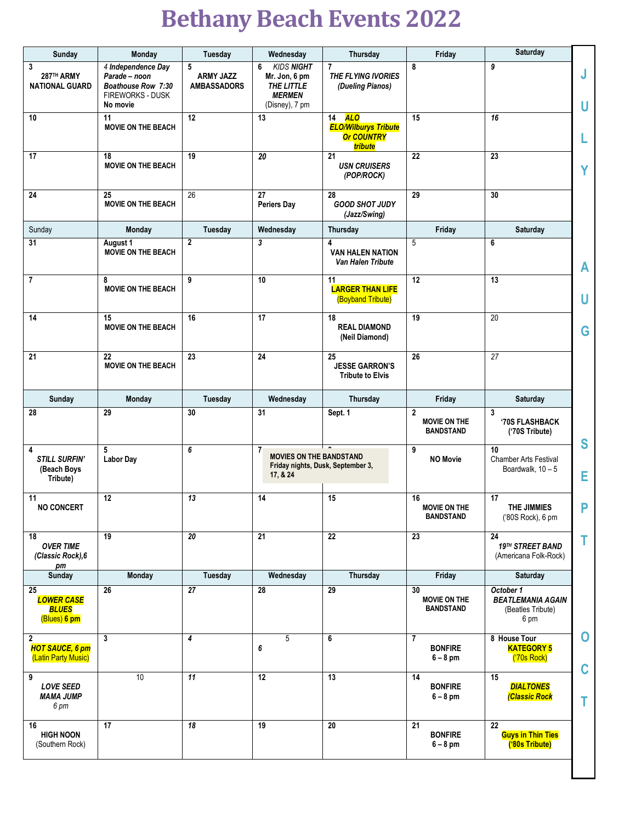## **Bethany Beach Events 2022**

| Sunday                                                       | Monday                                                                                           | Tuesday                                     | Wednesday                                                                                | <b>Thursday</b>                                                                 | Friday                                         | Saturday                                                           |                  |
|--------------------------------------------------------------|--------------------------------------------------------------------------------------------------|---------------------------------------------|------------------------------------------------------------------------------------------|---------------------------------------------------------------------------------|------------------------------------------------|--------------------------------------------------------------------|------------------|
| 3<br>287TH ARMY<br><b>NATIONAL GUARD</b>                     | 4 Independence Day<br>Parade - noon<br>Boathouse Row 7:30<br><b>FIREWORKS - DUSK</b><br>No movie | 5<br><b>ARMY JAZZ</b><br><b>AMBASSADORS</b> | <b>KIDS NIGHT</b><br>6<br>Mr. Jon, 6 pm<br>THE LITTLE<br><b>MERMEN</b><br>(Disney), 7 pm | 7<br><b>THE FLYING IVORIES</b><br>(Dueling Pianos)                              | 8                                              | 9                                                                  | J<br>U           |
| 10                                                           | 11<br><b>MOVIE ON THE BEACH</b>                                                                  | 12                                          | 13                                                                                       | <b>ALO</b><br>14<br><b>ELO/Wilburys Tribute</b><br><b>Or COUNTRY</b><br>tribute | 15                                             | 16                                                                 | L                |
| 17                                                           | 18<br><b>MOVIE ON THE BEACH</b>                                                                  | 19                                          | 20                                                                                       | 21<br><b>USN CRUISERS</b><br>(POP/ROCK)                                         | 22                                             | 23                                                                 | Υ                |
| 24                                                           | 25<br><b>MOVIE ON THE BEACH</b>                                                                  | 26                                          | 27<br><b>Periers Day</b>                                                                 | 28<br><b>GOOD SHOT JUDY</b><br>(Jazz/Swing)                                     | 29                                             | 30                                                                 |                  |
| Sunday                                                       | Monday                                                                                           | Tuesday                                     | Wednesday                                                                                | <b>Thursday</b>                                                                 | Friday                                         | Saturday                                                           |                  |
| 31                                                           | August 1<br><b>MOVIE ON THE BEACH</b>                                                            | 2                                           | 3                                                                                        | 4<br><b>VAN HALEN NATION</b><br>Van Halen Tribute                               | 5                                              | 6                                                                  | A                |
| $\overline{7}$                                               | 8<br><b>MOVIE ON THE BEACH</b>                                                                   | 9                                           | 10                                                                                       | 11<br><b>LARGER THAN LIFE</b><br>(Boyband Tribute)                              | 12                                             | 13                                                                 | U                |
| 14                                                           | 15<br><b>MOVIE ON THE BEACH</b>                                                                  | 16                                          | 17                                                                                       | 18<br><b>REAL DIAMOND</b><br>(Neil Diamond)                                     | 19                                             | 20                                                                 | G                |
| 21                                                           | 22<br><b>MOVIE ON THE BEACH</b>                                                                  | 23                                          | 24                                                                                       | 25<br><b>JESSE GARRON'S</b><br><b>Tribute to Elvis</b>                          | 26                                             | 27                                                                 |                  |
| <b>Sunday</b>                                                | Monday                                                                                           | Tuesday                                     | Wednesday                                                                                | Thursday                                                                        | Friday                                         | Saturday                                                           |                  |
| 28                                                           | 29                                                                                               | 30                                          | 31                                                                                       | Sept. 1                                                                         | 2<br><b>MOVIE ON THE</b><br><b>BANDSTAND</b>   | 3<br>'70S FLASHBACK<br>('70S Tribute)                              | S                |
| 4<br><b>STILL SURFIN'</b><br>(Beach Boys<br>Tribute)         | 5<br><b>Labor Day</b>                                                                            | 6                                           | $\overline{1}$<br><b>MOVIES ON THE BANDSTAND</b><br>17, & 24                             | Friday nights, Dusk, September 3,                                               | 9<br><b>NO Movie</b>                           | 10<br><b>Chamber Arts Festival</b><br>Boardwalk, $10 - 5$          | Е                |
| 11<br><b>NO CONCERT</b>                                      | 12                                                                                               | 13                                          | 14                                                                                       | 15                                                                              | 16<br><b>MOVIE ON THE</b><br><b>BANDSTAND</b>  | 17<br>THE JIMMIES<br>('80S Rock), 6 pm                             | P                |
| 18<br><b>OVER TIME</b><br>(Classic Rock), 6<br>рm            | 19                                                                                               | 20                                          | 21                                                                                       | 22                                                                              | 23                                             | 24<br>19TH STREET BAND<br>(Americana Folk-Rock)                    | Τ                |
| Sunday                                                       | <b>Monday</b>                                                                                    | Tuesday                                     | Wednesday                                                                                | Thursday                                                                        | Friday                                         | Saturday                                                           |                  |
| 25<br><b>LOWER CASE</b><br><b>BLUES</b><br>(Blues) 6 pm      | 26                                                                                               | 27                                          | 28                                                                                       | 29                                                                              | 30<br><b>MOVIE ON THE</b><br><b>BANDSTAND</b>  | October 1<br><b>BEATLEMANIA AGAIN</b><br>(Beatles Tribute)<br>6 pm |                  |
| $\mathbf 2$<br><b>HOT SAUCE, 6 pm</b><br>(Latin Party Music) | 3                                                                                                | 4                                           | 5<br>6                                                                                   | 6                                                                               | $\overline{1}$<br><b>BONFIRE</b><br>$6 - 8$ pm | 8 House Tour<br><b>KATEGORY 5</b><br>('70s Rock)                   | $\mathbf 0$<br>C |
| 9<br><b>LOVE SEED</b><br><b>MAMA JUMP</b><br>6 pm            | 10                                                                                               | 11                                          | 12                                                                                       | 13                                                                              | 14<br><b>BONFIRE</b><br>$6 - 8$ pm             | 15<br><b>DIALTONES</b><br><b>Classic Rock</b>                      | Τ                |
| 16<br><b>HIGH NOON</b><br>(Southern Rock)                    | 17                                                                                               | 18                                          | 19                                                                                       | 20                                                                              | 21<br><b>BONFIRE</b><br>$6 - 8$ pm             | $\overline{22}$<br><b>Guys in Thin Ties</b><br>('80s Tribute)      |                  |